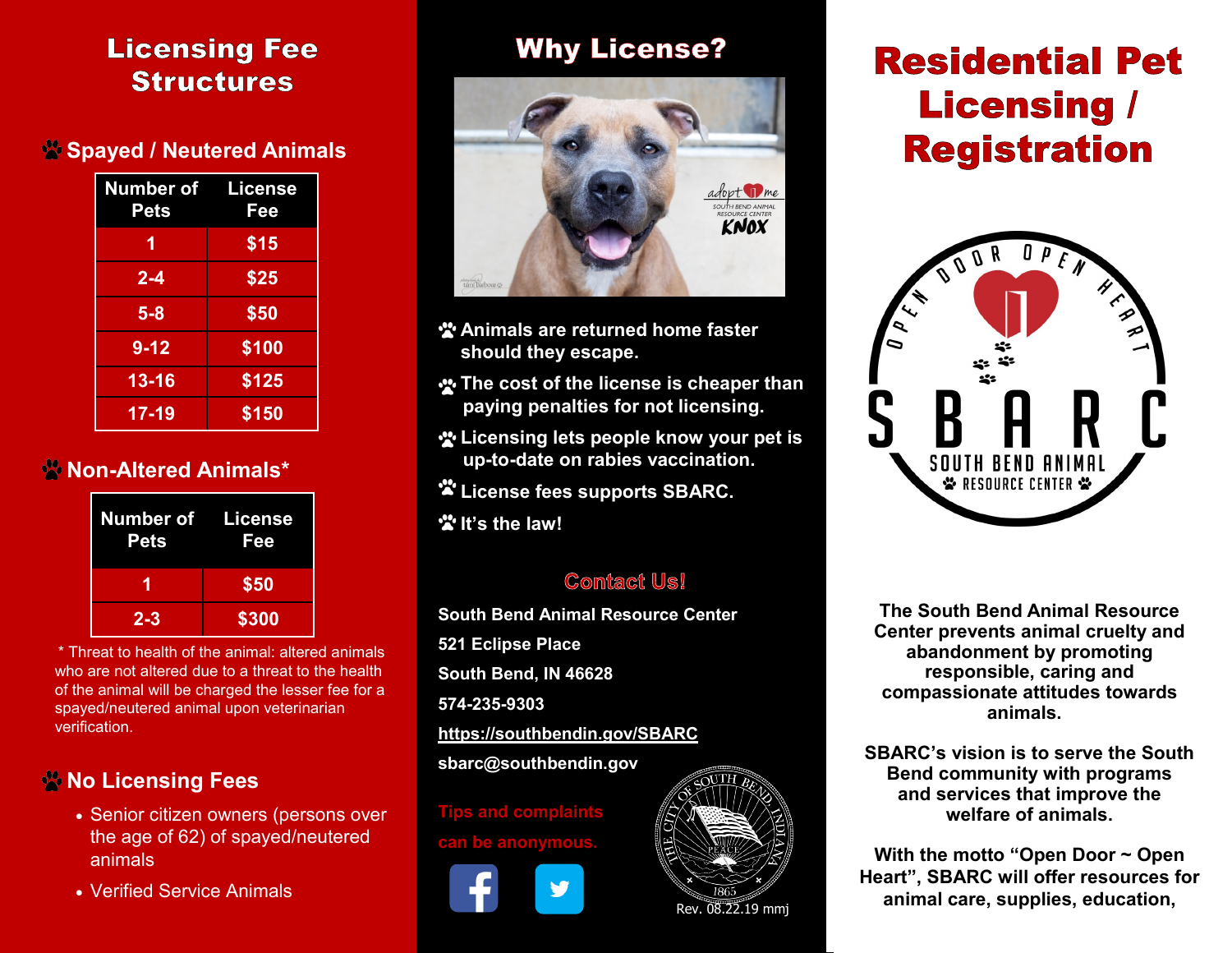## **Licensing Fee Structures**

### **Spayed / Neutered Animals**

| <b>Number of License</b><br>Pets | Fee   |
|----------------------------------|-------|
| 1                                | \$15  |
| $2 - 4$                          | \$25  |
| $5 - 8$                          | \$50  |
| $9 - 12$                         | \$100 |
| $13 - 16$                        | \$125 |
| $17 - 19$                        | \$150 |

### **Non-Altered Animals\***

| <b>Number of License</b><br><b>Pets</b> | Fee   |
|-----------------------------------------|-------|
|                                         | \$50  |
| $2 - 3$                                 | \$300 |

 \* Threat to health of the animal: altered animals who are not altered due to a threat to the health of the animal will be charged the lesser fee for a spayed/neutered animal upon veterinarian verification.

### **No Licensing Fees**

- Senior citizen owners (persons over the age of 62) of spayed/neutered animals
- Verified Service Animals

# **Why License?**



- **<sup>2</sup>** Animals are returned home faster **should they escape.**
- **The cost of the license is cheaper than paying penalties for not licensing.**
- **Licensing lets people know your pet is up-to-date on rabies vaccination.**
- **License fees supports SBARC.**
- **It's the law!**

### **Contact Us!**

**South Bend Animal Resource Center 521 Eclipse Place South Bend, IN 46628 574-235-9303 <https://southbendin.gov/SBARC> sbarc@southbendin.gov**

**Tips and complaints can be anonymous.**





# **Residential Pet Licensing / Registration**



**The South Bend Animal Resource Center prevents animal cruelty and abandonment by promoting responsible, caring and compassionate attitudes towards animals.** 

and services that improve the **SBARC's vision is to serve the South Bend community with programs welfare of animals.**

**With the motto "Open Door ~ Open Heart", SBARC will offer resources for animal care, supplies, education,**  $\overline{\text{Rev. 08.22.19 mm}}$